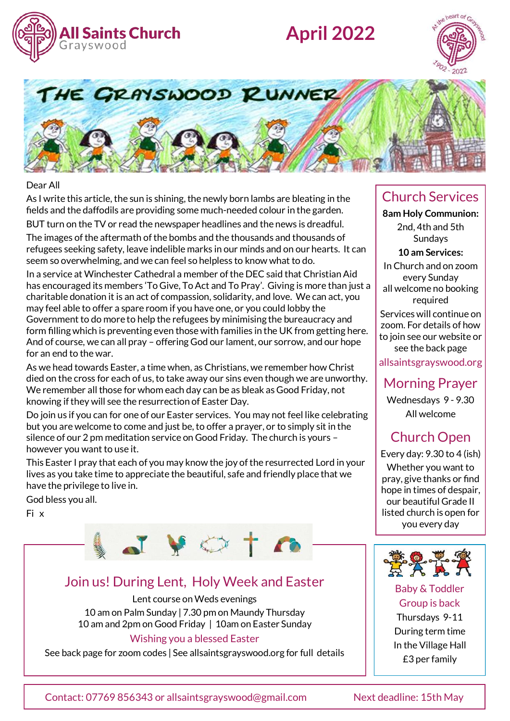

# **April 2022**





#### Dear All

As I write this article, the sun is shining, the newly born lambs are bleating in the fields and the daffodils are providing some much-needed colour in the garden.

BUT turn on the TV or read the newspaper headlines and the news is dreadful. The images of the aftermath of the bombs and the thousands and thousands of refugees seeking safety, leave indelible marks in our minds and on our hearts. It can seem so overwhelming, and we can feel so helpless to know what to do.

In a service at Winchester Cathedral a member of the DEC said that Christian Aid has encouraged its members 'To Give, To Act and To Pray'. Giving is more than just a charitable donation it is an act of compassion, solidarity, and love. We can act, you may feel able to offer a spare room if you have one, or you could lobby the Government to do more to help the refugees by minimising the bureaucracy and form filling which is preventing even those with families in the UK from getting here. And of course, we can all pray – offering God our lament, our sorrow, and our hope for an end to the war.

As we head towards Easter, a time when, as Christians, we remember how Christ died on the cross for each of us, to take away our sins even though we are unworthy. We remember all those for whom each day can be as bleak as Good Friday, not knowing if they will see the resurrection of Easter Day.

Do join us if you can for one of our Easter services. You may not feel like celebrating but you are welcome to come and just be, to offer a prayer, or to simply sit in the silence of our 2 pm meditation service on Good Friday. The church is yours – however you want to use it.

This Easter I pray that each of you may know the joy of the resurrected Lord in your lives as you take time to appreciate the beautiful, safe and friendly place that we have the privilege to live in.

God bless you all.

Fi x



### Join us! During Lent, Holy Week and Easter

Lent course on Weds evenings 10 am on Palm Sunday | 7.30 pm on Maundy Thursday 10 am and 2pm on Good Friday | 10am on Easter Sunday

#### Wishing you a blessed Easter

See back page for zoom codes | See allsaintsgrayswood.org for full details

### Church Services

**8am Holy Communion:**  2nd, 4th and 5th Sundays

**10 am Services:** 

In Church and on zoom every Sunday all welcome no booking required

Services will continue on zoom. For details of how to join see our website or see the back page

allsaintsgrayswood.org

Morning Prayer

Wednesdays 9 - 9.30 All welcome

# Church Open

Every day: 9.30 to 4 (ish) Whether you want to pray, give thanks or find hope in times of despair, our beautiful Grade II listed church is open for you every day



#### Baby & Toddler Group is back

Thursdays 9-11 During term time In the Village Hall £3 per family

Contact: 07769 856343 or allsaintsgrayswood@gmail.com Next deadline: 15th May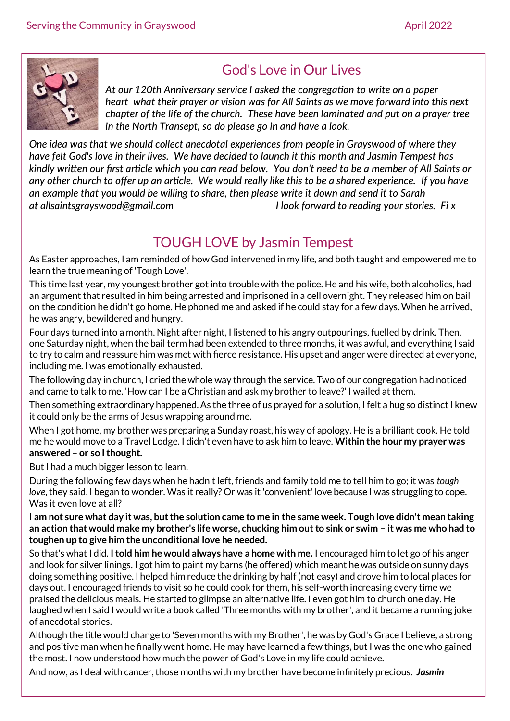

## God's Love in Our Lives

*At our 120th Anniversary service I asked the congregation to write on a paper heart what their prayer or vision was for All Saints as we move forward into this next chapter of the life of the church. These have been laminated and put on a prayer tree in the North Transept, so do please go in and have a look.*

*One idea was that we should collect anecdotal experiences from people in Grayswood of where they have felt God's love in their lives. We have decided to launch it this month and Jasmin Tempest has kindly written our first article which you can read below. You don't need to be a member of All Saints or any other church to offer up an article. We would really like this to be a shared experience. If you have an example that you would be willing to share, then please write it down and send it to Sarah at allsaintsgrayswood@gmail.com I look forward to reading your stories. Fi x* 

### TOUGH LOVE by Jasmin Tempest

As Easter approaches, I am reminded of how God intervened in my life, and both taught and empowered me to learn the true meaning of 'Tough Love'.

This time last year, my youngest brother got into trouble with the police. He and his wife, both alcoholics, had an argument that resulted in him being arrested and imprisoned in a cell overnight. They released him on bail on the condition he didn't go home. He phoned me and asked if he could stay for a few days. When he arrived, he was angry, bewildered and hungry.

Four days turned into a month. Night after night, I listened to his angry outpourings, fuelled by drink. Then, one Saturday night, when the bail term had been extended to three months, it was awful, and everything I said to try to calm and reassure him was met with fierce resistance. His upset and anger were directed at everyone, including me. I was emotionally exhausted.

The following day in church, I cried the whole way through the service. Two of our congregation had noticed and came to talk to me. 'How can I be a Christian and ask my brother to leave?' I wailed at them.

Then something extraordinary happened. As the three of us prayed for a solution, I felt a hug so distinct I knew it could only be the arms of Jesus wrapping around me.

When I got home, my brother was preparing a Sunday roast, his way of apology. He is a brilliant cook. He told me he would move to a Travel Lodge. I didn't even have to ask him to leave. **Within the hour my prayer was answered – or so I thought.** 

But I had a much bigger lesson to learn.

During the following few days when he hadn't left, friends and family told me to tell him to go; it was *tough love*, they said. I began to wonder. Was it really? Or was it 'convenient' love because I was struggling to cope. Was it even love at all?

**I am not sure what day it was, but the solution came to me in the same week. Tough love didn't mean taking an action that would make my brother's life worse, chucking him out to sink or swim – it was me who had to toughen up to give him the unconditional love he needed.** 

So that's what I did. **I told him he would always have a home with me.** I encouraged him to let go of his anger and look for silver linings. I got him to paint my barns (he offered) which meant he was outside on sunny days doing something positive. I helped him reduce the drinking by half (not easy) and drove him to local places for days out. I encouraged friends to visit so he could cook for them, his self-worth increasing every time we praised the delicious meals. He started to glimpse an alternative life. I even got him to church one day. He laughed when I said I would write a book called 'Three months with my brother', and it became a running joke of anecdotal stories.

Although the title would change to 'Seven months with my Brother', he was by God's Grace I believe, a strong and positive man when he finally went home. He may have learned a few things, but I was the one who gained the most. I now understood how much the power of God's Love in my life could achieve.

And now, as I deal with cancer, those months with my brother have become infinitely precious. *Jasmin*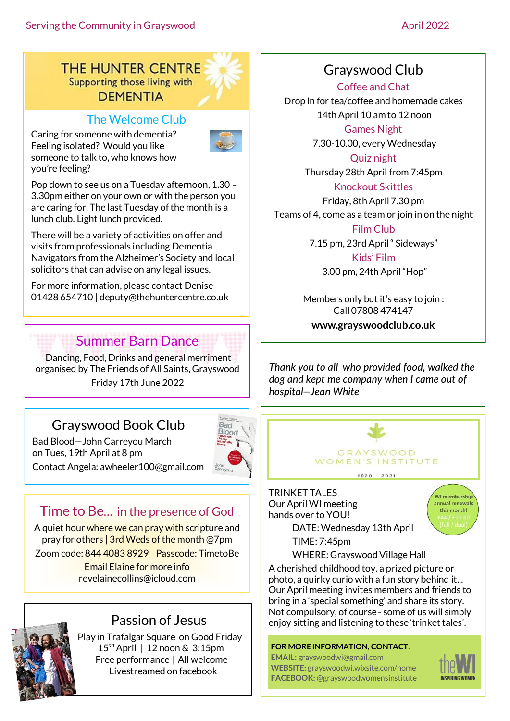THE HUNTER CENTRE Supporting those living with **DEMENTIA** 

### The Welcome Club

Caring for someone with dementia? Feeling isolated? Would you like someone to talk to, who knows how you're feeling?



Pop down to see us on a Tuesday afternoon, 1.30 – 3.30pm either on your own or with the person you are caring for. The last Tuesday of the month is a lunch club. Light lunch provided.

There will be a variety of activities on offer and visits from professionals including Dementia Navigators from the Alzheimer's Society and local solicitors that can advise on any legal issues.

For more information, please contact Denise 01428 654710 | [deputy@thehuntercentre.co.uk](mailto:deputy@thehuntercentre.co.uk) 

### Summer Barn Dance

Dancing, Food, Drinks and general merriment organised by The Friends of All Saints, Grayswood Friday 17th June 2022

# Grayswood Book Club

Bad Blood—John Carreyou March



on Tues, 19th April at 8 pm Contact Angela: awheeler100@gmail.com

# Time to Be… in the presence of God

A quiet hour where we can pray with scripture and pray for others | 3rd Weds of the month @7pm

Zoom code: 844 4083 8929 Passcode: TimetoBe

Email Elaine for more info revelainecollins@icloud.com



### Passion of Jesus

Play in Trafalgar Square on Good Friday 15thApril | 12 noon & 3:15pm Free performance | All welcome Livestreamed on facebook

### Grayswood Club

Coffee and Chat Drop in for tea/coffee and homemade cakes 14th April 10 am to 12 noon

Games Night

7.30-10.00, every Wednesday

Quiz night Thursday 28th April from 7:45pm

Knockout Skittles Friday, 8th April 7.30 pm

Teams of 4, come as a team or join in on the night Film Club

7.15 pm, 23rd April " Sideways"

Kids' Film 3.00 pm, 24th April "Hop"

Members only but it's easy to join : Call 07808 474147

**www.grayswoodclub.co.uk**

*Thank you to all who provided food, walked the dog and kept me company when I came out of hospital—Jean White*



TRINKET TALES Our April WI meeting hands over to YOU!



DATE:Wednesday 13th April TIME: 7:45pm

WHERE: Grayswood Village Hall A cherished childhood toy, a prized picture or photo, a quirky curio with a fun story behind it... Our April meeting invites members and friends to bring in a 'special something' and share its story. Not compulsory, of course - some of us will simply enjoy sitting and listening to these 'trinket tales'.

#### **FOR MORE INFORMATION, CONTACT**:

**EMAIL:** grayswoodwi@gmail.com **WEBSITE:** grayswoodwi.wixsite.com/home **FACEBOOK:** @grayswoodwomensinstitute